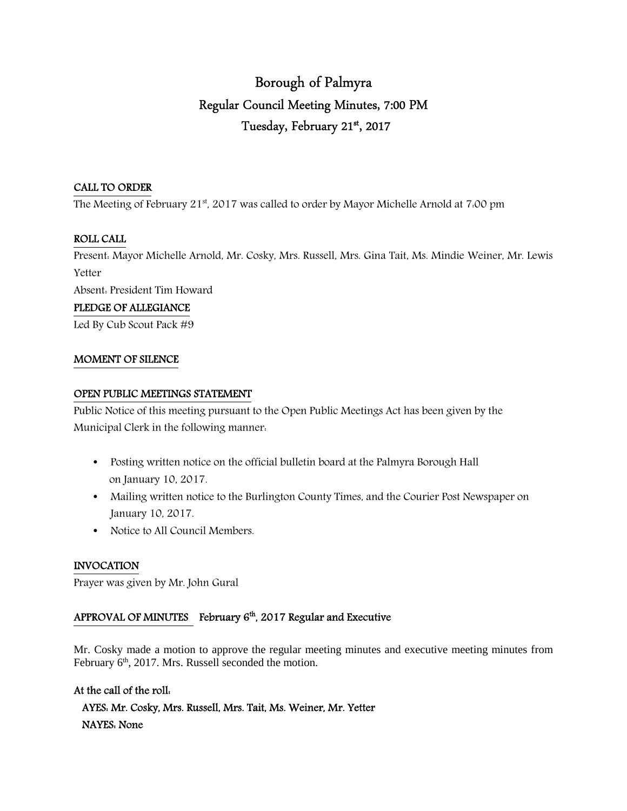# Borough of Palmyra Regular Council Meeting Minutes, 7:00 PM Tuesday, February 21st , 2017

### CALL TO ORDER

The Meeting of February 21st, 2017 was called to order by Mayor Michelle Arnold at 7:00 pm

### ROLL CALL

Present: Mayor Michelle Arnold, Mr. Cosky, Mrs. Russell, Mrs. Gina Tait, Ms. Mindie Weiner, Mr. Lewis Yetter

Absent: President Tim Howard

### PLEDGE OF ALLEGIANCE

Led By Cub Scout Pack #9

### MOMENT OF SILENCE

### OPEN PUBLIC MEETINGS STATEMENT

Public Notice of this meeting pursuant to the Open Public Meetings Act has been given by the Municipal Clerk in the following manner:

- Posting written notice on the official bulletin board at the Palmyra Borough Hall on January 10, 2017.
- Mailing written notice to the Burlington County Times, and the Courier Post Newspaper on January 10, 2017.
- Notice to All Council Members.

### INVOCATION

Prayer was given by Mr. John Gural

# APPROVAL OF MINUTES February  $6<sup>th</sup>$ , 2017 Regular and Executive

Mr. Cosky made a motion to approve the regular meeting minutes and executive meeting minutes from February  $6<sup>th</sup>$ , 2017. Mrs. Russell seconded the motion.

### At the call of the roll:

 AYES: Mr. Cosky, Mrs. Russell, Mrs. Tait, Ms. Weiner, Mr. Yetter NAYES: None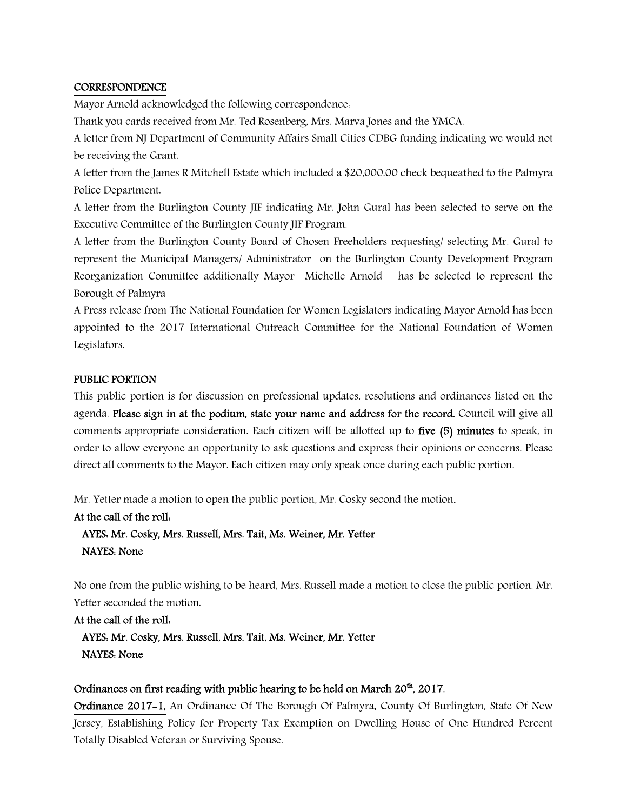### **CORRESPONDENCE**

Mayor Arnold acknowledged the following correspondence:

Thank you cards received from Mr. Ted Rosenberg, Mrs. Marva Jones and the YMCA.

A letter from NJ Department of Community Affairs Small Cities CDBG funding indicating we would not be receiving the Grant.

A letter from the James R Mitchell Estate which included a \$20,000.00 check bequeathed to the Palmyra Police Department.

A letter from the Burlington County JIF indicating Mr. John Gural has been selected to serve on the Executive Committee of the Burlington County JIF Program.

A letter from the Burlington County Board of Chosen Freeholders requesting/ selecting Mr. Gural to represent the Municipal Managers/ Administrator on the Burlington County Development Program Reorganization Committee additionally Mayor Michelle Arnold has be selected to represent the Borough of Palmyra

A Press release from The National Foundation for Women Legislators indicating Mayor Arnold has been appointed to the 2017 International Outreach Committee for the National Foundation of Women Legislators.

### PUBLIC PORTION

This public portion is for discussion on professional updates, resolutions and ordinances listed on the agenda. Please sign in at the podium, state your name and address for the record. Council will give all comments appropriate consideration. Each citizen will be allotted up to five (5) minutes to speak, in order to allow everyone an opportunity to ask questions and express their opinions or concerns. Please direct all comments to the Mayor. Each citizen may only speak once during each public portion.

Mr. Yetter made a motion to open the public portion, Mr. Cosky second the motion.

### At the call of the roll:

 AYES: Mr. Cosky, Mrs. Russell, Mrs. Tait, Ms. Weiner, Mr. Yetter NAYES: None

No one from the public wishing to be heard, Mrs. Russell made a motion to close the public portion. Mr. Yetter seconded the motion.

At the call of the roll: AYES: Mr. Cosky, Mrs. Russell, Mrs. Tait, Ms. Weiner, Mr. Yetter NAYES: None

### Ordinances on first reading with public hearing to be held on March 20<sup>th</sup>, 2017.

Ordinance 2017-1, An Ordinance Of The Borough Of Palmyra, County Of Burlington, State Of New Jersey, Establishing Policy for Property Tax Exemption on Dwelling House of One Hundred Percent Totally Disabled Veteran or Surviving Spouse.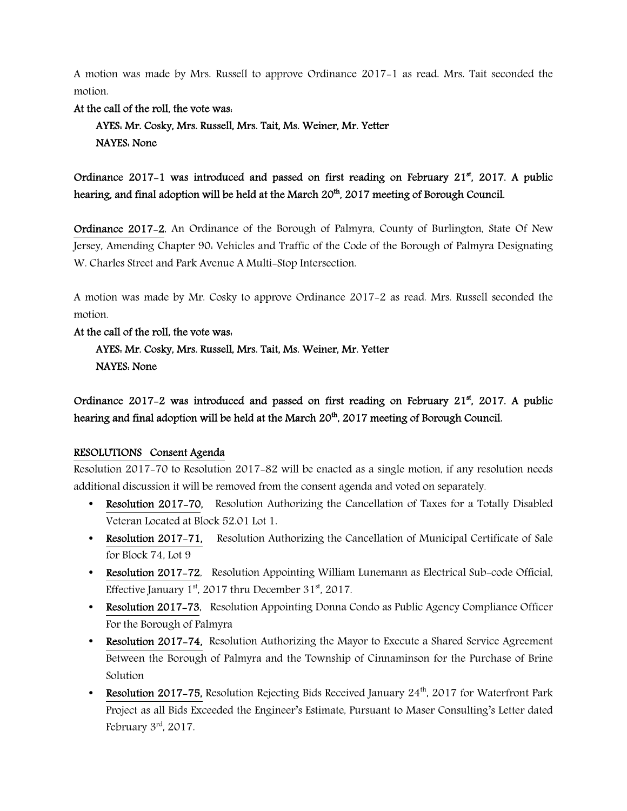A motion was made by Mrs. Russell to approve Ordinance 2017-1 as read. Mrs. Tait seconded the motion.

At the call of the roll, the vote was:

 AYES: Mr. Cosky, Mrs. Russell, Mrs. Tait, Ms. Weiner, Mr. Yetter NAYES: None

Ordinance 2017-1 was introduced and passed on first reading on February 21<sup>st</sup>, 2017. A public hearing, and final adoption will be held at the March 20<sup>th</sup>, 2017 meeting of Borough Council.

Ordinance 2017-2, An Ordinance of the Borough of Palmyra, County of Burlington, State Of New Jersey, Amending Chapter 90: Vehicles and Traffic of the Code of the Borough of Palmyra Designating W. Charles Street and Park Avenue A Multi-Stop Intersection.

A motion was made by Mr. Cosky to approve Ordinance 2017-2 as read. Mrs. Russell seconded the motion.

### At the call of the roll, the vote was:

 AYES: Mr. Cosky, Mrs. Russell, Mrs. Tait, Ms. Weiner, Mr. Yetter NAYES: None

Ordinance 2017-2 was introduced and passed on first reading on February  $21^{st}$ , 2017. A public hearing and final adoption will be held at the March 20<sup>th</sup>, 2017 meeting of Borough Council.

### RESOLUTIONS Consent Agenda

Resolution 2017-70 to Resolution 2017-82 will be enacted as a single motion, if any resolution needs additional discussion it will be removed from the consent agenda and voted on separately.

- Resolution 2017-70, Resolution Authorizing the Cancellation of Taxes for a Totally Disabled Veteran Located at Block 52.01 Lot 1.
- Resolution 2017-71, Resolution Authorizing the Cancellation of Municipal Certificate of Sale for Block 74, Lot 9
- Resolution 2017-72, Resolution Appointing William Lunemann as Electrical Sub-code Official, Effective January  $1^{st}$ , 2017 thru December 31 $st$ , 2017.
- Resolution 2017-73, Resolution Appointing Donna Condo as Public Agency Compliance Officer For the Borough of Palmyra
- Resolution 2017-74, Resolution Authorizing the Mayor to Execute a Shared Service Agreement Between the Borough of Palmyra and the Township of Cinnaminson for the Purchase of Brine Solution
- Resolution 2017-75, Resolution Rejecting Bids Received January  $24<sup>th</sup>$ , 2017 for Waterfront Park Project as all Bids Exceeded the Engineer's Estimate, Pursuant to Maser Consulting's Letter dated February 3rd, 2017.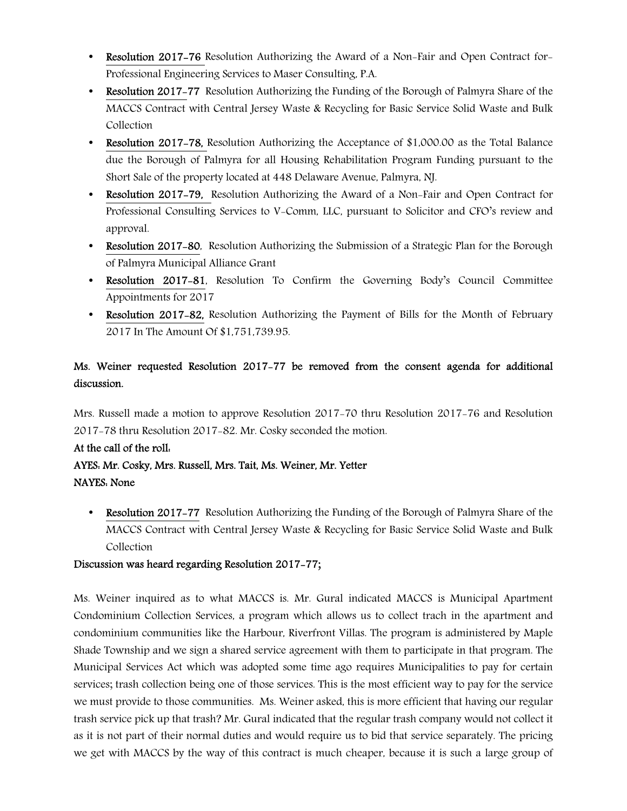- Resolution 2017-76 Resolution Authorizing the Award of a Non-Fair and Open Contract for-Professional Engineering Services to Maser Consulting, P.A.
- Resolution 2017-77 Resolution Authorizing the Funding of the Borough of Palmyra Share of the MACCS Contract with Central Jersey Waste & Recycling for Basic Service Solid Waste and Bulk Collection
- Resolution 2017–78, Resolution Authorizing the Acceptance of \$1,000.00 as the Total Balance due the Borough of Palmyra for all Housing Rehabilitation Program Funding pursuant to the Short Sale of the property located at 448 Delaware Avenue, Palmyra, NJ.
- Resolution 2017–79. Resolution Authorizing the Award of a Non-Fair and Open Contract for Professional Consulting Services to V-Comm, LLC, pursuant to Solicitor and CFO's review and approval.
- **Resolution 2017-80**, Resolution Authorizing the Submission of a Strategic Plan for the Borough of Palmyra Municipal Alliance Grant
- Resolution 2017-81, Resolution To Confirm the Governing Body's Council Committee Appointments for 2017
- Resolution 2017-82, Resolution Authorizing the Payment of Bills for the Month of February 2017 In The Amount Of \$1,751,739.95.

# Ms. Weiner requested Resolution 2017-77 be removed from the consent agenda for additional discussion.

Mrs. Russell made a motion to approve Resolution 2017-70 thru Resolution 2017-76 and Resolution 2017-78 thru Resolution 2017-82. Mr. Cosky seconded the motion.

# At the call of the roll:

# AYES: Mr. Cosky, Mrs. Russell, Mrs. Tait, Ms. Weiner, Mr. Yetter NAYES: None

• Resolution 2017-77 Resolution Authorizing the Funding of the Borough of Palmyra Share of the MACCS Contract with Central Jersey Waste & Recycling for Basic Service Solid Waste and Bulk Collection

# Discussion was heard regarding Resolution 2017-77;

Ms. Weiner inquired as to what MACCS is. Mr. Gural indicated MACCS is Municipal Apartment Condominium Collection Services, a program which allows us to collect trach in the apartment and condominium communities like the Harbour, Riverfront Villas. The program is administered by Maple Shade Township and we sign a shared service agreement with them to participate in that program. The Municipal Services Act which was adopted some time ago requires Municipalities to pay for certain services; trash collection being one of those services. This is the most efficient way to pay for the service we must provide to those communities. Ms. Weiner asked, this is more efficient that having our regular trash service pick up that trash? Mr. Gural indicated that the regular trash company would not collect it as it is not part of their normal duties and would require us to bid that service separately. The pricing we get with MACCS by the way of this contract is much cheaper, because it is such a large group of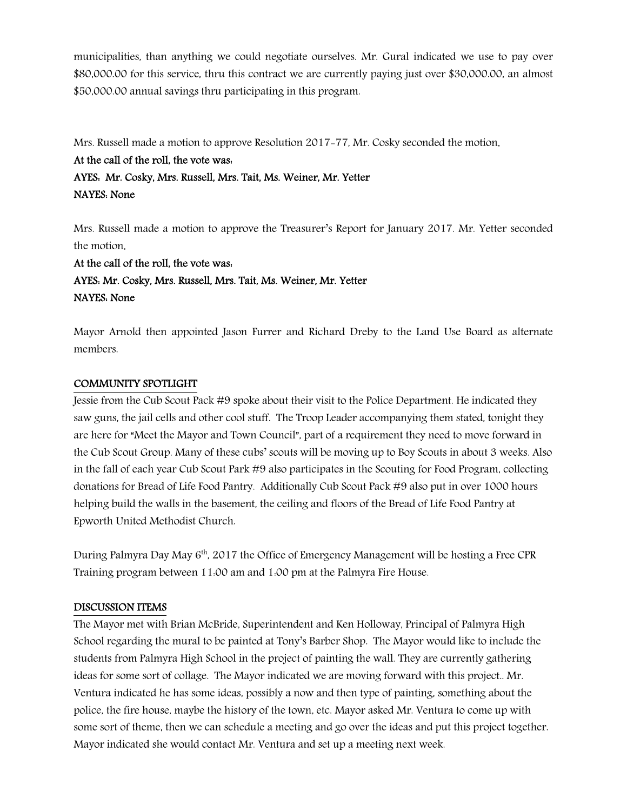municipalities, than anything we could negotiate ourselves. Mr. Gural indicated we use to pay over \$80,000.00 for this service, thru this contract we are currently paying just over \$30,000.00, an almost \$50,000.00 annual savings thru participating in this program.

Mrs. Russell made a motion to approve Resolution 2017-77, Mr. Cosky seconded the motion.

### At the call of the roll, the vote was:

# AYES: Mr. Cosky, Mrs. Russell, Mrs. Tait, Ms. Weiner, Mr. Yetter NAYES: None

Mrs. Russell made a motion to approve the Treasurer's Report for January 2017. Mr. Yetter seconded the motion.

At the call of the roll, the vote was: AYES: Mr. Cosky, Mrs. Russell, Mrs. Tait, Ms. Weiner, Mr. Yetter NAYES: None

Mayor Arnold then appointed Jason Furrer and Richard Dreby to the Land Use Board as alternate members.

### COMMUNITY SPOTLIGHT

Jessie from the Cub Scout Pack #9 spoke about their visit to the Police Department. He indicated they saw guns, the jail cells and other cool stuff. The Troop Leader accompanying them stated, tonight they are here for "Meet the Mayor and Town Council", part of a requirement they need to move forward in the Cub Scout Group. Many of these cubs' scouts will be moving up to Boy Scouts in about 3 weeks. Also in the fall of each year Cub Scout Park #9 also participates in the Scouting for Food Program, collecting donations for Bread of Life Food Pantry. Additionally Cub Scout Pack #9 also put in over 1000 hours helping build the walls in the basement, the ceiling and floors of the Bread of Life Food Pantry at Epworth United Methodist Church.

During Palmyra Day May 6<sup>th</sup>, 2017 the Office of Emergency Management will be hosting a Free CPR Training program between 11:00 am and 1:00 pm at the Palmyra Fire House.

### DISCUSSION ITEMS

The Mayor met with Brian McBride, Superintendent and Ken Holloway, Principal of Palmyra High School regarding the mural to be painted at Tony's Barber Shop. The Mayor would like to include the students from Palmyra High School in the project of painting the wall. They are currently gathering ideas for some sort of collage. The Mayor indicated we are moving forward with this project.. Mr. Ventura indicated he has some ideas, possibly a now and then type of painting, something about the police, the fire house, maybe the history of the town, etc. Mayor asked Mr. Ventura to come up with some sort of theme, then we can schedule a meeting and go over the ideas and put this project together. Mayor indicated she would contact Mr. Ventura and set up a meeting next week.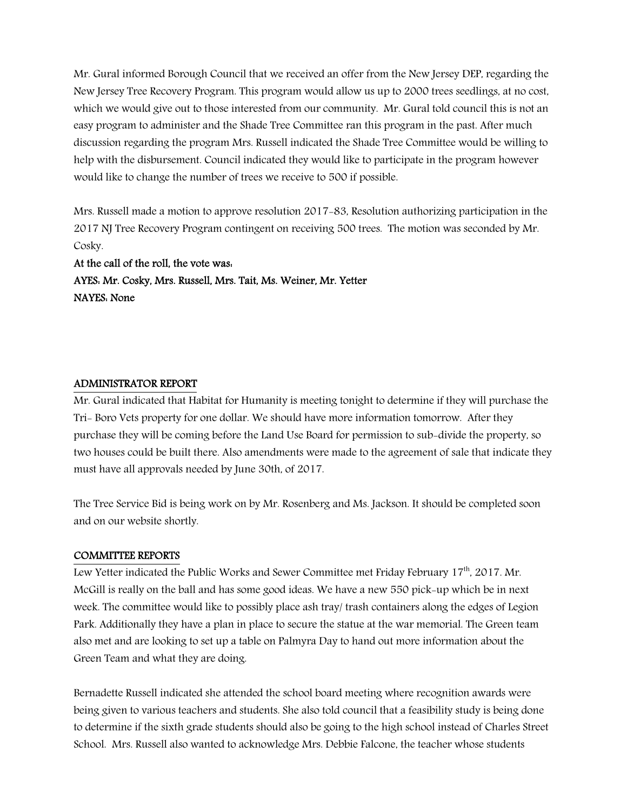Mr. Gural informed Borough Council that we received an offer from the New Jersey DEP, regarding the New Jersey Tree Recovery Program. This program would allow us up to 2000 trees seedlings, at no cost, which we would give out to those interested from our community. Mr. Gural told council this is not an easy program to administer and the Shade Tree Committee ran this program in the past. After much discussion regarding the program Mrs. Russell indicated the Shade Tree Committee would be willing to help with the disbursement. Council indicated they would like to participate in the program however would like to change the number of trees we receive to 500 if possible.

Mrs. Russell made a motion to approve resolution 2017-83, Resolution authorizing participation in the 2017 NJ Tree Recovery Program contingent on receiving 500 trees. The motion was seconded by Mr. Cosky.

At the call of the roll, the vote was: AYES: Mr. Cosky, Mrs. Russell, Mrs. Tait, Ms. Weiner, Mr. Yetter NAYES: None

### ADMINISTRATOR REPORT

Mr. Gural indicated that Habitat for Humanity is meeting tonight to determine if they will purchase the Tri- Boro Vets property for one dollar. We should have more information tomorrow. After they purchase they will be coming before the Land Use Board for permission to sub-divide the property, so two houses could be built there. Also amendments were made to the agreement of sale that indicate they must have all approvals needed by June 30th, of 2017.

The Tree Service Bid is being work on by Mr. Rosenberg and Ms. Jackson. It should be completed soon and on our website shortly.

#### COMMITTEE REPORTS

Lew Yetter indicated the Public Works and Sewer Committee met Friday February 17<sup>th</sup>, 2017. Mr. McGill is really on the ball and has some good ideas. We have a new 550 pick-up which be in next week. The committee would like to possibly place ash tray/ trash containers along the edges of Legion Park. Additionally they have a plan in place to secure the statue at the war memorial. The Green team also met and are looking to set up a table on Palmyra Day to hand out more information about the Green Team and what they are doing.

Bernadette Russell indicated she attended the school board meeting where recognition awards were being given to various teachers and students. She also told council that a feasibility study is being done to determine if the sixth grade students should also be going to the high school instead of Charles Street School. Mrs. Russell also wanted to acknowledge Mrs. Debbie Falcone, the teacher whose students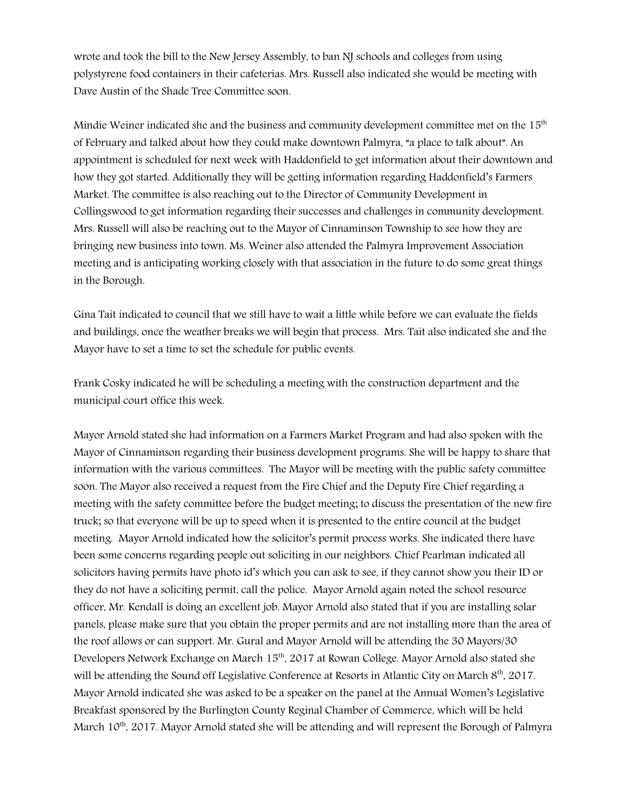wrote and took the bill to the New Jersey Assembly, to ban NJ schools and colleges from using polystyrene food containers in their cafeterias. Mrs. Russell also indicated she would be meeting with Dave Austin of the Shade Tree Committee soon.

Mindie Weiner indicated she and the business and community development committee met on the  $15<sup>th</sup>$ of February and talked about how they could make downtown Palmyra, "a place to talk about". An appointment is scheduled for next week with Haddonfield to get information about their downtown and how they got started. Additionally they will be getting information regarding Haddonfield's Farmers Market. The committee is also reaching out to the Director of Community Development in Collingswood to get information regarding their successes and challenges in community development. Mrs. Russell will also be reaching out to the Mayor of Cinnaminson Township to see how they are bringing new business into town. Ms. Weiner also attended the Palmyra Improvement Association meeting and is anticipating working closely with that association in the future to do some great things in the Borough.

Gina Tait indicated to council that we still have to wait a little while before we can evaluate the fields and buildings, once the weather breaks we will begin that process. Mrs. Tait also indicated she and the Mayor have to set a time to set the schedule for public events.

Frank Cosky indicated he will be scheduling a meeting with the construction department and the municipal court office this week.

Mayor Arnold stated she had information on a Farmers Market Program and had also spoken with the Mayor of Cinnaminson regarding their business development programs. She will be happy to share that information with the various committees. The Mayor will be meeting with the public safety committee soon. The Mayor also received a request from the Fire Chief and the Deputy Fire Chief regarding a meeting with the safety committee before the budget meeting; to discuss the presentation of the new fire truck; so that everyone will be up to speed when it is presented to the entire council at the budget meeting. Mayor Arnold indicated how the solicitor's permit process works. She indicated there have been some concerns regarding people out soliciting in our neighbors. Chief Pearlman indicated all solicitors having permits have photo id's which you can ask to see, if they cannot show you their ID or they do not have a soliciting permit, call the police. Mayor Arnold again noted the school resource officer, Mr. Kendall is doing an excellent job. Mayor Arnold also stated that if you are installing solar panels, please make sure that you obtain the proper permits and are not installing more than the area of the roof allows or can support. Mr. Gural and Mayor Arnold will be attending the 30 Mayors/30 Developers Network Exchange on March 15<sup>th</sup>, 2017 at Rowan College. Mayor Arnold also stated she will be attending the Sound off Legislative Conference at Resorts in Atlantic City on March 8<sup>th</sup>, 2017. Mayor Arnold indicated she was asked to be a speaker on the panel at the Annual Women's Legislative Breakfast sponsored by the Burlington County Reginal Chamber of Commerce, which will be held March 10<sup>th</sup>, 2017. Mayor Arnold stated she will be attending and will represent the Borough of Palmyra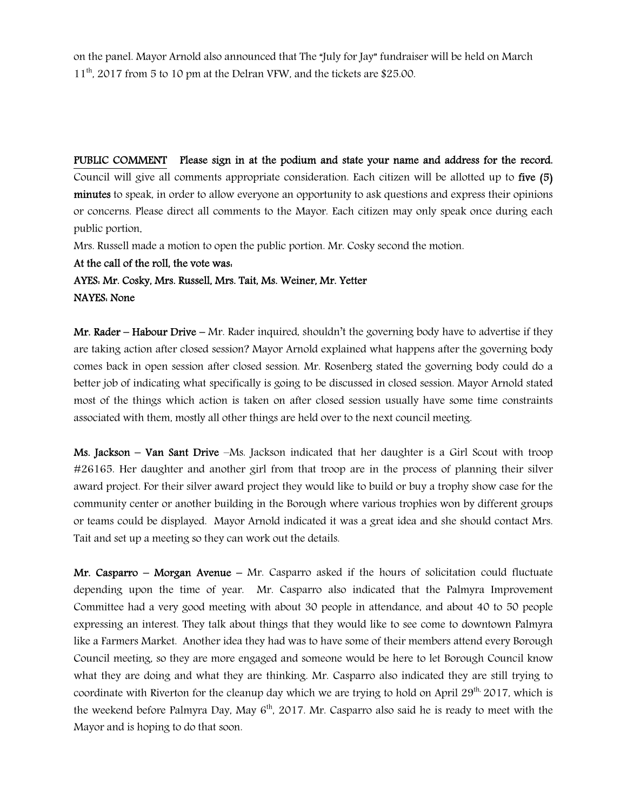on the panel. Mayor Arnold also announced that The "July for Jay" fundraiser will be held on March 11<sup>th</sup>, 2017 from 5 to 10 pm at the Delran VFW, and the tickets are \$25.00.

PUBLIC COMMENT Please sign in at the podium and state your name and address for the record. Council will give all comments appropriate consideration. Each citizen will be allotted up to five (5) minutes to speak, in order to allow everyone an opportunity to ask questions and express their opinions or concerns. Please direct all comments to the Mayor. Each citizen may only speak once during each public portion.

Mrs. Russell made a motion to open the public portion. Mr. Cosky second the motion.

At the call of the roll, the vote was:

AYES: Mr. Cosky, Mrs. Russell, Mrs. Tait, Ms. Weiner, Mr. Yetter NAYES: None

Mr. Rader – Habour Drive – Mr. Rader inquired, shouldn't the governing body have to advertise if they are taking action after closed session? Mayor Arnold explained what happens after the governing body comes back in open session after closed session. Mr. Rosenberg stated the governing body could do a better job of indicating what specifically is going to be discussed in closed session. Mayor Arnold stated most of the things which action is taken on after closed session usually have some time constraints associated with them, mostly all other things are held over to the next council meeting.

Ms. Jackson – Van Sant Drive –Ms. Jackson indicated that her daughter is a Girl Scout with troop #26165. Her daughter and another girl from that troop are in the process of planning their silver award project. For their silver award project they would like to build or buy a trophy show case for the community center or another building in the Borough where various trophies won by different groups or teams could be displayed. Mayor Arnold indicated it was a great idea and she should contact Mrs. Tait and set up a meeting so they can work out the details.

Mr. Casparro – Morgan Avenue – Mr. Casparro asked if the hours of solicitation could fluctuate depending upon the time of year. Mr. Casparro also indicated that the Palmyra Improvement Committee had a very good meeting with about 30 people in attendance, and about 40 to 50 people expressing an interest. They talk about things that they would like to see come to downtown Palmyra like a Farmers Market. Another idea they had was to have some of their members attend every Borough Council meeting, so they are more engaged and someone would be here to let Borough Council know what they are doing and what they are thinking. Mr. Casparro also indicated they are still trying to coordinate with Riverton for the cleanup day which we are trying to hold on April 29<sup>th,</sup> 2017, which is the weekend before Palmyra Day, May  $6<sup>th</sup>$ , 2017. Mr. Casparro also said he is ready to meet with the Mayor and is hoping to do that soon.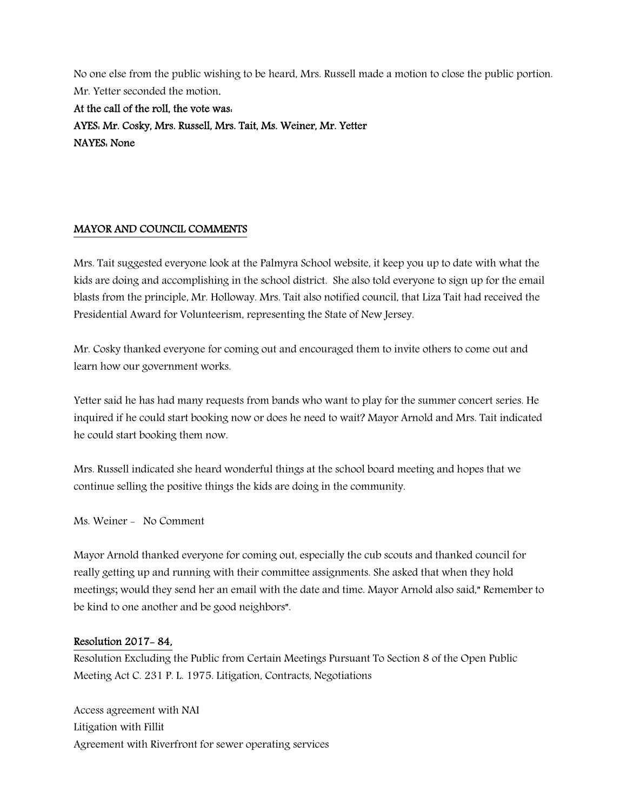No one else from the public wishing to be heard, Mrs. Russell made a motion to close the public portion. Mr. Yetter seconded the motion.

At the call of the roll, the vote was: AYES: Mr. Cosky, Mrs. Russell, Mrs. Tait, Ms. Weiner, Mr. Yetter NAYES: None

### MAYOR AND COUNCIL COMMENTS

Mrs. Tait suggested everyone look at the Palmyra School website, it keep you up to date with what the kids are doing and accomplishing in the school district. She also told everyone to sign up for the email blasts from the principle, Mr. Holloway. Mrs. Tait also notified council, that Liza Tait had received the Presidential Award for Volunteerism, representing the State of New Jersey.

Mr. Cosky thanked everyone for coming out and encouraged them to invite others to come out and learn how our government works.

Yetter said he has had many requests from bands who want to play for the summer concert series. He inquired if he could start booking now or does he need to wait? Mayor Arnold and Mrs. Tait indicated he could start booking them now.

Mrs. Russell indicated she heard wonderful things at the school board meeting and hopes that we continue selling the positive things the kids are doing in the community.

Ms. Weiner - No Comment

Mayor Arnold thanked everyone for coming out, especially the cub scouts and thanked council for really getting up and running with their committee assignments. She asked that when they hold meetings; would they send her an email with the date and time. Mayor Arnold also said," Remember to be kind to one another and be good neighbors".

### Resolution 2017- 84,

Resolution Excluding the Public from Certain Meetings Pursuant To Section 8 of the Open Public Meeting Act C. 231 P. L. 1975. Litigation, Contracts, Negotiations

Access agreement with NAI Litigation with Fillit Agreement with Riverfront for sewer operating services